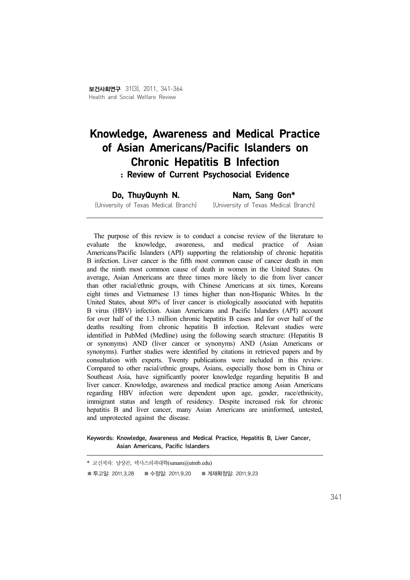# Knowledge, Awareness and Medical Practice of Asian Americans/Pacific Islanders on Chronic Hepatitis B Infection : Review of Current Psychosocial Evidence

Do, ThuyQuynh N.

Nam, Sang Gon\*

(University of Texas Medical Branch) (University of Texas Medical Branch)

The purpose of this review is to conduct a concise review of the literature to evaluate the knowledge, awareness, and medical practice of Asian Americans/Pacific Islanders (API) supporting the relationship of chronic hepatitis B infection. Liver cancer is the fifth most common cause of cancer death in men and the ninth most common cause of death in women in the United States. On average, Asian Americans are three times more likely to die from liver cancer than other racial/ethnic groups, with Chinese Americans at six times, Koreans eight times and Vietnamese 13 times higher than non-Hispanic Whites. In the United States, about 80% of liver cancer is etiologically associated with hepatitis B virus (HBV) infection. Asian Americans and Pacific Islanders (API) account for over half of the 1.3 million chronic hepatitis B cases and for over half of the deaths resulting from chronic hepatitis B infection. Relevant studies were identified in PubMed (Medline) using the following search structure: (Hepatitis B or synonyms) AND (liver cancer or synonyms) AND (Asian Americans or synonyms). Further studies were identified by citations in retrieved papers and by consultation with experts. Twenty publications were included in this review. Compared to other racial/ethnic groups, Asians, especially those born in China or Southeast Asia, have significantly poorer knowledge regarding hepatitis B and liver cancer. Knowledge, awareness and medical practice among Asian Americans regarding HBV infection were dependent upon age, gender, race/ethnicity, immigrant status and length of residency. Despite increased risk for chronic hepatitis B and liver cancer, many Asian Americans are uninformed, untested, and unprotected against the disease.

Keywords: Knowledge, Awareness and Medical Practice, Hepatitis B, Liver Cancer, Asian Americans, Pacific Islanders

|                  | * 교신저자: 남상곤, 텍사스의과대학(sanam@utmb.edu) |                    |
|------------------|--------------------------------------|--------------------|
| ■ 투고일: 2011.3.28 | ■ 수정일: 2011.9.20                     | ■ 게재확정일: 2011.9.23 |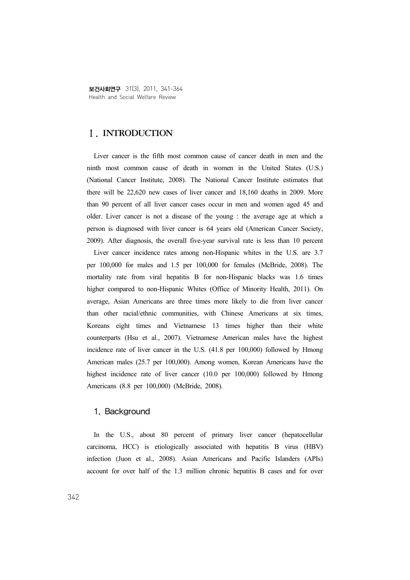보건사회연구 31(3), 2011, 341-364 Health and Social Welfare Review

## Ⅰ. INTRODUCTION

Liver cancer is the fifth most common cause of cancer death in men and the ninth most common cause of death in women in the United States (U.S.) (National Cancer Institute, 2008). The National Cancer Institute estimates that there will be 22,620 new cases of liver cancer and 18,160 deaths in 2009. More than 90 percent of all liver cancer cases occur in men and women aged 45 and older. Liver cancer is not a disease of the young : the average age at which a person is diagnosed with liver cancer is 64 years old (American Cancer Society, 2009). After diagnosis, the overall five-year survival rate is less than 10 percent

Liver cancer incidence rates among non-Hispanic whites in the U.S. are 3.7 per 100,000 for males and 1.5 per 100,000 for females (McBride, 2008). The mortality rate from viral hepatitis B for non-Hispanic blacks was 1.6 times higher compared to non-Hispanic Whites (Office of Minority Health, 2011). On average, Asian Americans are three times more likely to die from liver cancer than other racial/ethnic communities, with Chinese Americans at six times, Koreans eight times and Vietnamese 13 times higher than their white counterparts (Hsu et al., 2007). Vietnamese American males have the highest incidence rate of liver cancer in the U.S. (41.8 per 100,000) followed by Hmong American males (25.7 per 100,000). Among women, Korean Americans have the highest incidence rate of liver cancer (10.0 per 100,000) followed by Hmong Americans (8.8 per 100,000) (McBride, 2008).

#### 1. Background

In the U.S., about 80 percent of primary liver cancer (hepatocellular carcinoma, HCC) is etiologically associated with hepatitis B virus (HBV) infection (Juon et al., 2008). Asian Americans and Pacific Islanders (APIs) account for over half of the 1.3 million chronic hepatitis B cases and for over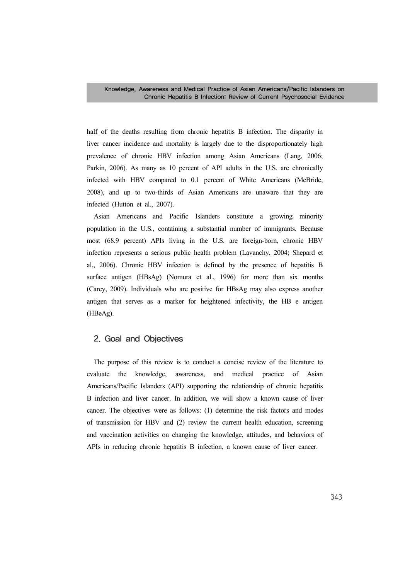half of the deaths resulting from chronic hepatitis B infection. The disparity in liver cancer incidence and mortality is largely due to the disproportionately high prevalence of chronic HBV infection among Asian Americans (Lang, 2006; Parkin, 2006). As many as 10 percent of API adults in the U.S. are chronically infected with HBV compared to 0.1 percent of White Americans (McBride, 2008), and up to two-thirds of Asian Americans are unaware that they are infected (Hutton et al., 2007).

Asian Americans and Pacific Islanders constitute a growing minority population in the U.S., containing a substantial number of immigrants. Because most (68.9 percent) APIs living in the U.S. are foreign-born, chronic HBV infection represents a serious public health problem (Lavanchy, 2004; Shepard et al., 2006). Chronic HBV infection is defined by the presence of hepatitis B surface antigen (HBsAg) (Nomura et al., 1996) for more than six months (Carey, 2009). Individuals who are positive for HBsAg may also express another antigen that serves as a marker for heightened infectivity, the HB e antigen (HBeAg).

### 2. Goal and Objectives

The purpose of this review is to conduct a concise review of the literature to evaluate the knowledge, awareness, and medical practice of Asian Americans/Pacific Islanders (API) supporting the relationship of chronic hepatitis B infection and liver cancer. In addition, we will show a known cause of liver cancer. The objectives were as follows: (1) determine the risk factors and modes of transmission for HBV and (2) review the current health education, screening and vaccination activities on changing the knowledge, attitudes, and behaviors of APIs in reducing chronic hepatitis B infection, a known cause of liver cancer.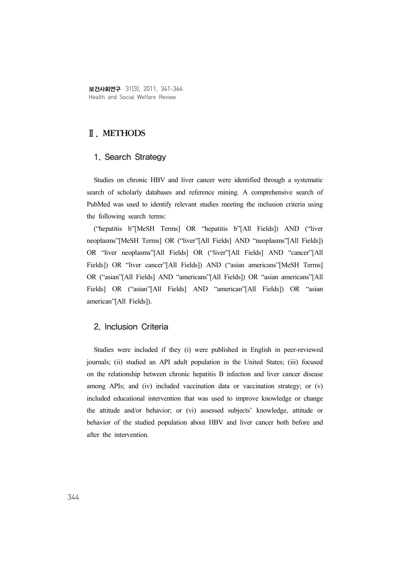보건사회연구 31(3), 2011, 341-364 Health and Social Welfare Review

# Ⅱ. METHODS

## 1. Search Strategy

Studies on chronic HBV and liver cancer were identified through a systematic search of scholarly databases and reference mining. A comprehensive search of PubMed was used to identify relevant studies meeting the inclusion criteria using the following search terms:

("hepatitis b"[MeSH Terms] OR "hepatitis b"[All Fields]) AND ("liver neoplasms"[MeSH Terms] OR ("liver"[All Fields] AND "neoplasms"[All Fields]) OR "liver neoplasms"[All Fields] OR ("liver"[All Fields] AND "cancer"[All Fields]) OR "liver cancer"[All Fields]) AND ("asian americans"[MeSH Terms] OR ("asian"[All Fields] AND "americans"[All Fields]) OR "asian americans"[All Fields] OR ("asian"[All Fields] AND "american"[All Fields]) OR "asian american"[All Fields]).

#### 2. Inclusion Criteria

Studies were included if they (i) were published in English in peer-reviewed journals; (ii) studied an API adult population in the United States; (iii) focused on the relationship between chronic hepatitis B infection and liver cancer disease among APIs; and (iv) included vaccination data or vaccination strategy; or (v) included educational intervention that was used to improve knowledge or change the attitude and/or behavior; or (vi) assessed subjects' knowledge, attitude or behavior of the studied population about HBV and liver cancer both before and after the intervention.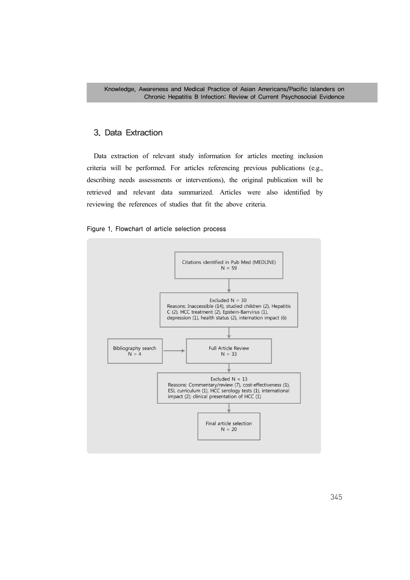# 3. Data Extraction

Data extraction of relevant study information for articles meeting inclusion criteria will be performed. For articles referencing previous publications (e.g., describing needs assessments or interventions), the original publication will be retrieved and relevant data summarized. Articles were also identified by reviewing the references of studies that fit the above criteria.



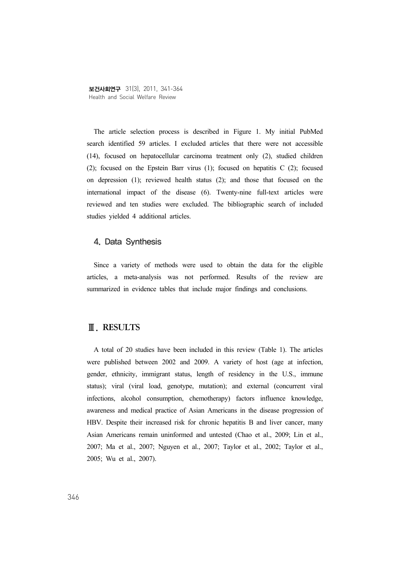The article selection process is described in Figure 1. My initial PubMed search identified 59 articles. I excluded articles that there were not accessible (14), focused on hepatocellular carcinoma treatment only (2), studied children (2); focused on the Epstein Barr virus (1); focused on hepatitis C (2); focused on depression (1); reviewed health status (2); and those that focused on the international impact of the disease (6). Twenty-nine full-text articles were reviewed and ten studies were excluded. The bibliographic search of included studies yielded 4 additional articles.

#### 4. Data Synthesis

Since a variety of methods were used to obtain the data for the eligible articles, a meta-analysis was not performed. Results of the review are summarized in evidence tables that include major findings and conclusions.

## Ⅲ. RESULTS

A total of 20 studies have been included in this review (Table 1). The articles were published between 2002 and 2009. A variety of host (age at infection, gender, ethnicity, immigrant status, length of residency in the U.S., immune status); viral (viral load, genotype, mutation); and external (concurrent viral infections, alcohol consumption, chemotherapy) factors influence knowledge, awareness and medical practice of Asian Americans in the disease progression of HBV. Despite their increased risk for chronic hepatitis B and liver cancer, many Asian Americans remain uninformed and untested (Chao et al., 2009; Lin et al., 2007; Ma et al., 2007; Nguyen et al., 2007; Taylor et al., 2002; Taylor et al., 2005; Wu et al., 2007).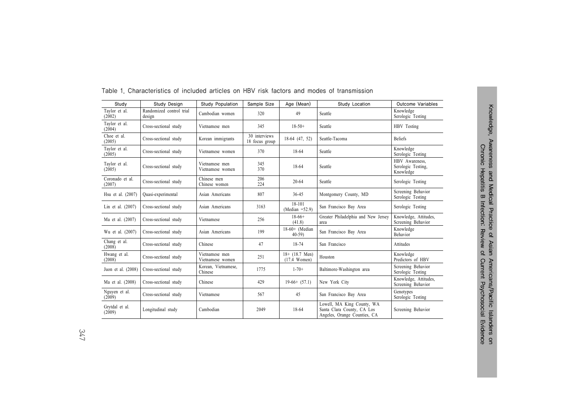| Study                     | Study Design                       | <b>Study Population</b>            | Sample Size                     | Age (Mean)                                 | Study Location                                                                           | Outcome Variables                                 |
|---------------------------|------------------------------------|------------------------------------|---------------------------------|--------------------------------------------|------------------------------------------------------------------------------------------|---------------------------------------------------|
| Taylor et al.<br>(2002)   | Randomized control trial<br>design | Cambodian women                    | 320                             | 49                                         | Seattle                                                                                  | Knowledge<br>Serologic Testing                    |
| Taylor et al.<br>(2004)   | Cross-sectional study              | Vietnamese men                     | 345                             | $18-50+$                                   | Seattle                                                                                  | HBV Testing                                       |
| Choe et al.<br>(2005)     | Cross-sectional study              | Korean immigrants                  | 30 interviews<br>18 focus group | 18-64 (47, 52)                             | Seattle-Tacoma                                                                           | <b>Beliefs</b>                                    |
| Taylor et al.<br>(2005)   | Cross-sectional study              | Vietnamese women                   | 370                             | 18-64                                      | Seattle                                                                                  | Knowledge<br>Serologic Testing                    |
| Taylor et al.<br>(2005)   | Cross-sectional study              | Vietnamese men<br>Vietnamese women | 345<br>370                      | 18-64                                      | Seattle                                                                                  | HBV Awareness,<br>Serologic Testing,<br>Knowledge |
| Coronado et al.<br>(2007) | Cross-sectional study              | Chinese men<br>Chinese women       | 206<br>224                      | $20 - 64$                                  | Seattle                                                                                  | Serologic Testing                                 |
| Hsu et al. (2007)         | Quasi-experimental                 | Asian Americans                    | 807                             | $36 - 45$                                  | Montgomery County, MD                                                                    | Screening Behavior<br>Serologic Testing           |
| Lin et al. $(2007)$       | Cross-sectional study              | Asian Americans                    | 3163                            | 18-101<br>(Median $=52.9$ )                | San Francisco Bay Area                                                                   | Serologic Testing                                 |
| Ma et al. (2007)          | Cross-sectional study              | Vietnamese                         | 256                             | $18-66+$<br>(41.8)                         | Greater Philadelphia and New Jersey<br>area                                              | Knowledge, Attitudes,<br>Screening Behavior       |
| Wu et al. (2007)          | Cross-sectional study              | Asian Americans                    | 199                             | $18-60+$ (Median<br>$40-59$                | San Francisco Bay Area                                                                   | Knowledge<br>Behavior                             |
| Chang et al.<br>(2008)    | Cross-sectional study              | Chinese                            | 47                              | 18-74                                      | San Francisco                                                                            | Attitudes                                         |
| Hwang et al.<br>(2008)    | Cross-sectional study              | Vietnamese men<br>Vietnamese women | 251                             | $18+ (18.7 \text{ Men})$<br>$(17.4$ Women) | Houston                                                                                  | Knowledge<br>Predictors of HBV                    |
| Juon et al. (2008)        | Cross-sectional study              | Korean, Vietnamese,<br>Chinese     | 1775                            | $1 - 70 +$                                 | Baltimore-Washington area                                                                | Screening Behavior<br>Serologic Testing           |
| Ma et al. (2008)          | Cross-sectional study              | Chinese                            | 429                             | $19-66+ (57.1)$                            | New York City                                                                            | Knowledge, Attitudes,<br>Screening Behavior       |
| Nguyen et al.<br>(2009)   | Cross-sectional study              | Vietnamese                         | 567                             | 45                                         | San Francisco Bay Area                                                                   | Genotypes<br>Serologic Testing                    |
| Grytdal et al.<br>(2009)  | Longitudinal study                 | Cambodian                          | 2049                            | 18-64                                      | Lowell, MA King County, WA<br>Santa Clara County, CA Los<br>Angeles, Orange Counties, CA | Screening Behavior                                |

#### Table 1. Characteristics of included articles on HBV risk factors and modes of transmission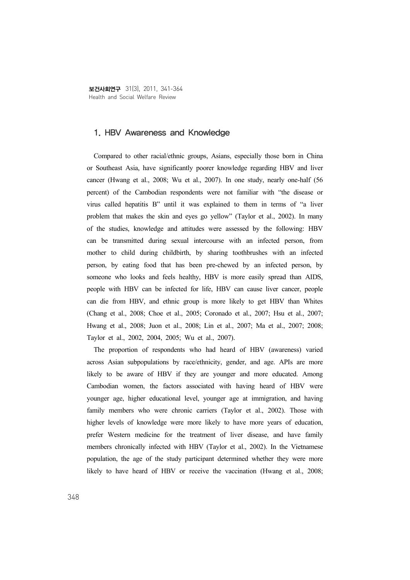보건사회연구 31(3), 2011, 341-364 Health and Social Welfare Review

#### 1. HBV Awareness and Knowledge

Compared to other racial/ethnic groups, Asians, especially those born in China or Southeast Asia, have significantly poorer knowledge regarding HBV and liver cancer (Hwang et al., 2008; Wu et al., 2007). In one study, nearly one-half (56 percent) of the Cambodian respondents were not familiar with "the disease or virus called hepatitis B" until it was explained to them in terms of "a liver problem that makes the skin and eyes go yellow" (Taylor et al., 2002). In many of the studies, knowledge and attitudes were assessed by the following: HBV can be transmitted during sexual intercourse with an infected person, from mother to child during childbirth, by sharing toothbrushes with an infected person, by eating food that has been pre-chewed by an infected person, by someone who looks and feels healthy, HBV is more easily spread than AIDS, people with HBV can be infected for life, HBV can cause liver cancer, people can die from HBV, and ethnic group is more likely to get HBV than Whites (Chang et al., 2008; Choe et al., 2005; Coronado et al., 2007; Hsu et al., 2007; Hwang et al., 2008; Juon et al., 2008; Lin et al., 2007; Ma et al., 2007; 2008; Taylor et al., 2002, 2004, 2005; Wu et al., 2007).

The proportion of respondents who had heard of HBV (awareness) varied across Asian subpopulations by race/ethnicity, gender, and age. APIs are more likely to be aware of HBV if they are younger and more educated. Among Cambodian women, the factors associated with having heard of HBV were younger age, higher educational level, younger age at immigration, and having family members who were chronic carriers (Taylor et al., 2002). Those with higher levels of knowledge were more likely to have more years of education, prefer Western medicine for the treatment of liver disease, and have family members chronically infected with HBV (Taylor et al., 2002). In the Vietnamese population, the age of the study participant determined whether they were more likely to have heard of HBV or receive the vaccination (Hwang et al., 2008;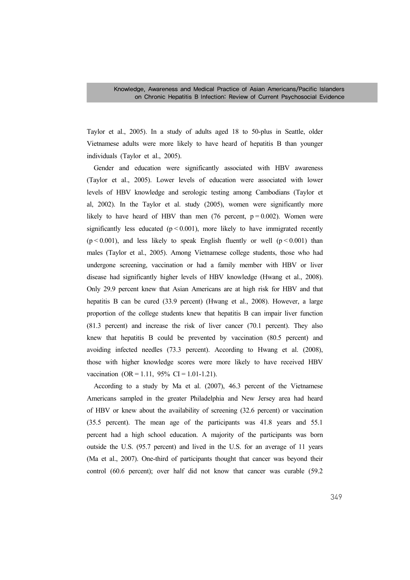Taylor et al., 2005). In a study of adults aged 18 to 50-plus in Seattle, older Vietnamese adults were more likely to have heard of hepatitis B than younger individuals (Taylor et al., 2005).

Gender and education were significantly associated with HBV awareness (Taylor et al., 2005). Lower levels of education were associated with lower levels of HBV knowledge and serologic testing among Cambodians (Taylor et al, 2002). In the Taylor et al. study (2005), women were significantly more likely to have heard of HBV than men (76 percent,  $p = 0.002$ ). Women were significantly less educated ( $p < 0.001$ ), more likely to have immigrated recently  $(p < 0.001)$ , and less likely to speak English fluently or well  $(p < 0.001)$  than males (Taylor et al., 2005). Among Vietnamese college students, those who had undergone screening, vaccination or had a family member with HBV or liver disease had significantly higher levels of HBV knowledge (Hwang et al., 2008). Only 29.9 percent knew that Asian Americans are at high risk for HBV and that hepatitis B can be cured (33.9 percent) (Hwang et al., 2008). However, a large proportion of the college students knew that hepatitis B can impair liver function (81.3 percent) and increase the risk of liver cancer (70.1 percent). They also knew that hepatitis B could be prevented by vaccination (80.5 percent) and avoiding infected needles (73.3 percent). According to Hwang et al. (2008), those with higher knowledge scores were more likely to have received HBV vaccination  $(OR = 1.11, 95\% \text{ CI} = 1.01 - 1.21).$ 

According to a study by Ma et al. (2007), 46.3 percent of the Vietnamese Americans sampled in the greater Philadelphia and New Jersey area had heard of HBV or knew about the availability of screening (32.6 percent) or vaccination (35.5 percent). The mean age of the participants was 41.8 years and 55.1 percent had a high school education. A majority of the participants was born outside the U.S. (95.7 percent) and lived in the U.S. for an average of 11 years (Ma et al., 2007). One-third of participants thought that cancer was beyond their control (60.6 percent); over half did not know that cancer was curable (59.2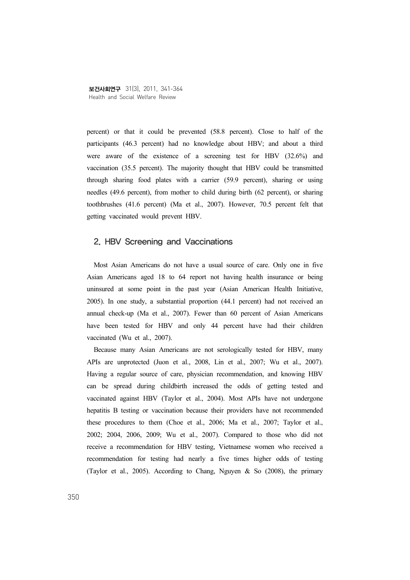percent) or that it could be prevented (58.8 percent). Close to half of the participants (46.3 percent) had no knowledge about HBV; and about a third were aware of the existence of a screening test for HBV (32.6%) and vaccination (35.5 percent). The majority thought that HBV could be transmitted through sharing food plates with a carrier (59.9 percent), sharing or using needles (49.6 percent), from mother to child during birth (62 percent), or sharing toothbrushes (41.6 percent) (Ma et al., 2007). However, 70.5 percent felt that getting vaccinated would prevent HBV.

# 2. HBV Screening and Vaccinations

Most Asian Americans do not have a usual source of care. Only one in five Asian Americans aged 18 to 64 report not having health insurance or being uninsured at some point in the past year (Asian American Health Initiative, 2005). In one study, a substantial proportion (44.1 percent) had not received an annual check-up (Ma et al., 2007). Fewer than 60 percent of Asian Americans have been tested for HBV and only 44 percent have had their children vaccinated (Wu et al., 2007).

Because many Asian Americans are not serologically tested for HBV, many APIs are unprotected (Juon et al., 2008, Lin et al., 2007; Wu et al., 2007). Having a regular source of care, physician recommendation, and knowing HBV can be spread during childbirth increased the odds of getting tested and vaccinated against HBV (Taylor et al., 2004). Most APIs have not undergone hepatitis B testing or vaccination because their providers have not recommended these procedures to them (Choe et al., 2006; Ma et al., 2007; Taylor et al., 2002; 2004, 2006, 2009; Wu et al., 2007). Compared to those who did not receive a recommendation for HBV testing, Vietnamese women who received a recommendation for testing had nearly a five times higher odds of testing (Taylor et al., 2005). According to Chang, Nguyen & So (2008), the primary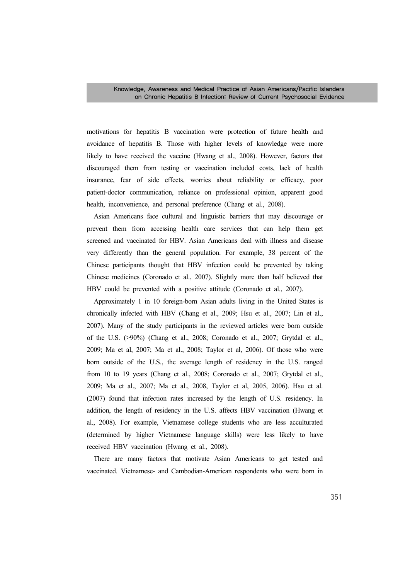motivations for hepatitis B vaccination were protection of future health and avoidance of hepatitis B. Those with higher levels of knowledge were more likely to have received the vaccine (Hwang et al., 2008). However, factors that discouraged them from testing or vaccination included costs, lack of health insurance, fear of side effects, worries about reliability or efficacy, poor patient-doctor communication, reliance on professional opinion, apparent good health, inconvenience, and personal preference (Chang et al., 2008).

Asian Americans face cultural and linguistic barriers that may discourage or prevent them from accessing health care services that can help them get screened and vaccinated for HBV. Asian Americans deal with illness and disease very differently than the general population. For example, 38 percent of the Chinese participants thought that HBV infection could be prevented by taking Chinese medicines (Coronado et al., 2007). Slightly more than half believed that HBV could be prevented with a positive attitude (Coronado et al., 2007).

Approximately 1 in 10 foreign-born Asian adults living in the United States is chronically infected with HBV (Chang et al., 2009; Hsu et al., 2007; Lin et al., 2007). Many of the study participants in the reviewed articles were born outside of the U.S. (>90%) (Chang et al., 2008; Coronado et al., 2007; Grytdal et al., 2009; Ma et al, 2007; Ma et al., 2008; Taylor et al, 2006). Of those who were born outside of the U.S., the average length of residency in the U.S. ranged from 10 to 19 years (Chang et al., 2008; Coronado et al., 2007; Grytdal et al., 2009; Ma et al., 2007; Ma et al., 2008, Taylor et al, 2005, 2006). Hsu et al. (2007) found that infection rates increased by the length of U.S. residency. In addition, the length of residency in the U.S. affects HBV vaccination (Hwang et al., 2008). For example, Vietnamese college students who are less acculturated (determined by higher Vietnamese language skills) were less likely to have received HBV vaccination (Hwang et al., 2008).

There are many factors that motivate Asian Americans to get tested and vaccinated. Vietnamese- and Cambodian-American respondents who were born in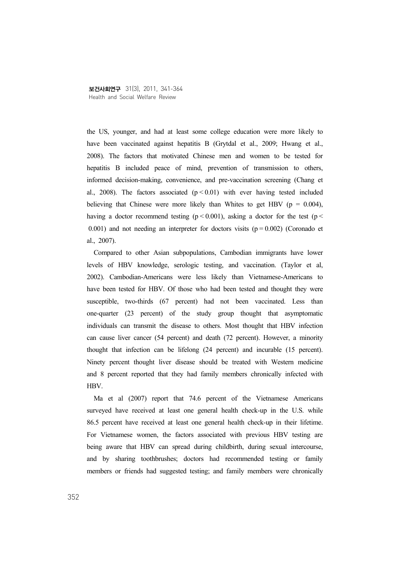the US, younger, and had at least some college education were more likely to have been vaccinated against hepatitis B (Grytdal et al., 2009; Hwang et al., 2008). The factors that motivated Chinese men and women to be tested for hepatitis B included peace of mind, prevention of transmission to others, informed decision-making, convenience, and pre-vaccination screening (Chang et al., 2008). The factors associated  $(p < 0.01)$  with ever having tested included believing that Chinese were more likely than Whites to get HBV ( $p = 0.004$ ), having a doctor recommend testing  $(p < 0.001)$ , asking a doctor for the test  $(p <$ 0.001) and not needing an interpreter for doctors visits  $(p = 0.002)$  (Coronado et al., 2007).

Compared to other Asian subpopulations, Cambodian immigrants have lower levels of HBV knowledge, serologic testing, and vaccination. (Taylor et al, 2002). Cambodian-Americans were less likely than Vietnamese-Americans to have been tested for HBV. Of those who had been tested and thought they were susceptible, two-thirds (67 percent) had not been vaccinated. Less than one-quarter (23 percent) of the study group thought that asymptomatic individuals can transmit the disease to others. Most thought that HBV infection can cause liver cancer (54 percent) and death (72 percent). However, a minority thought that infection can be lifelong (24 percent) and incurable (15 percent). Ninety percent thought liver disease should be treated with Western medicine and 8 percent reported that they had family members chronically infected with **HBV** 

Ma et al (2007) report that 74.6 percent of the Vietnamese Americans surveyed have received at least one general health check-up in the U.S. while 86.5 percent have received at least one general health check-up in their lifetime. For Vietnamese women, the factors associated with previous HBV testing are being aware that HBV can spread during childbirth, during sexual intercourse, and by sharing toothbrushes; doctors had recommended testing or family members or friends had suggested testing; and family members were chronically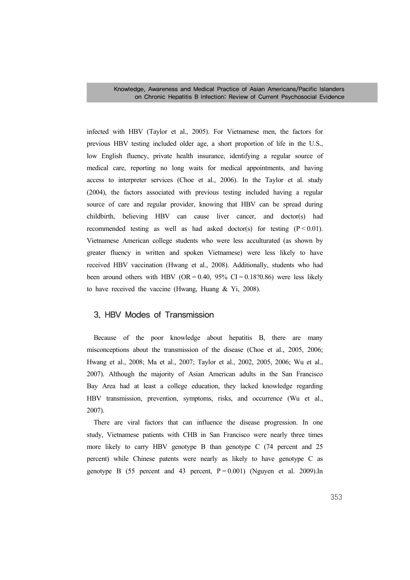Knowledge, Awareness and Medical Practice of Asian Americans/Pacific Islanders on Chronic Hepatitis B Infection: Review of Current Psychosocial Evidence

infected with HBV (Taylor et al., 2005). For Vietnamese men, the factors for previous HBV testing included older age, a short proportion of life in the U.S., low English fluency, private health insurance, identifying a regular source of medical care, reporting no long waits for medical appointments, and having access to interpreter services (Choe et al., 2006). In the Taylor et al. study (2004), the factors associated with previous testing included having a regular source of care and regular provider, knowing that HBV can be spread during childbirth, believing HBV can cause liver cancer, and doctor(s) had recommended testing as well as had asked doctor(s) for testing  $(P < 0.01)$ . Vietnamese American college students who were less acculturated (as shown by greater fluency in written and spoken Vietnamese) were less likely to have received HBV vaccination (Hwang et al., 2008). Additionally, students who had been around others with HBV (OR =  $0.40$ , 95% CI =  $0.18$ ?0.86) were less likely to have received the vaccine (Hwang, Huang & Yi, 2008).

## 3. HBV Modes of Transmission

Because of the poor knowledge about hepatitis B, there are many misconceptions about the transmission of the disease (Choe et al., 2005, 2006; Hwang et al., 2008; Ma et al., 2007; Taylor et al., 2002, 2005, 2006; Wu et al., 2007). Although the majority of Asian American adults in the San Francisco Bay Area had at least a college education, they lacked knowledge regarding HBV transmission, prevention, symptoms, risks, and occurrence (Wu et al., 2007).

There are viral factors that can influence the disease progression. In one study, Vietnamese patients with CHB in San Francisco were nearly three times more likely to carry HBV genotype B than genotype C (74 percent and 25 percent) while Chinese patents were nearly as likely to have genotype C as genotype B (55 percent and 43 percent,  $P = 0.001$ ) (Nguyen et al. 2009). In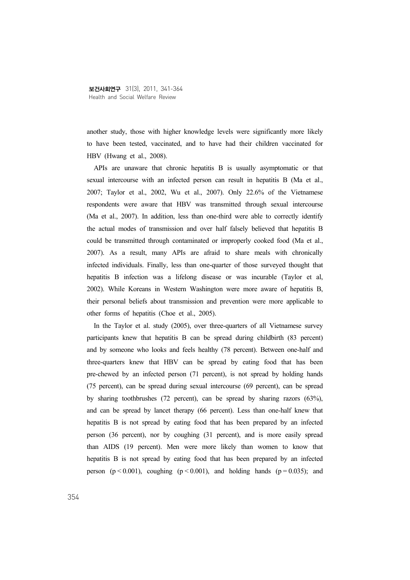another study, those with higher knowledge levels were significantly more likely to have been tested, vaccinated, and to have had their children vaccinated for HBV (Hwang et al., 2008).

APIs are unaware that chronic hepatitis B is usually asymptomatic or that sexual intercourse with an infected person can result in hepatitis B (Ma et al., 2007; Taylor et al., 2002, Wu et al., 2007). Only 22.6% of the Vietnamese respondents were aware that HBV was transmitted through sexual intercourse (Ma et al., 2007). In addition, less than one-third were able to correctly identify the actual modes of transmission and over half falsely believed that hepatitis B could be transmitted through contaminated or improperly cooked food (Ma et al., 2007). As a result, many APIs are afraid to share meals with chronically infected individuals. Finally, less than one-quarter of those surveyed thought that hepatitis B infection was a lifelong disease or was incurable (Taylor et al, 2002). While Koreans in Western Washington were more aware of hepatitis B, their personal beliefs about transmission and prevention were more applicable to other forms of hepatitis (Choe et al., 2005).

In the Taylor et al. study (2005), over three-quarters of all Vietnamese survey participants knew that hepatitis B can be spread during childbirth (83 percent) and by someone who looks and feels healthy (78 percent). Between one-half and three-quarters knew that HBV can be spread by eating food that has been pre-chewed by an infected person (71 percent), is not spread by holding hands (75 percent), can be spread during sexual intercourse (69 percent), can be spread by sharing toothbrushes (72 percent), can be spread by sharing razors (63%), and can be spread by lancet therapy (66 percent). Less than one-half knew that hepatitis B is not spread by eating food that has been prepared by an infected person (36 percent), nor by coughing (31 percent), and is more easily spread than AIDS (19 percent). Men were more likely than women to know that hepatitis B is not spread by eating food that has been prepared by an infected person ( $p < 0.001$ ), coughing ( $p < 0.001$ ), and holding hands ( $p = 0.035$ ); and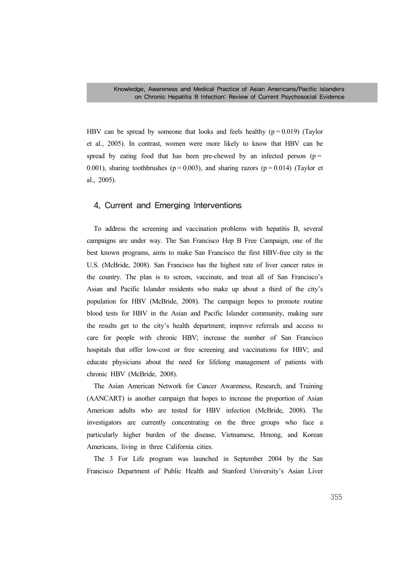HBV can be spread by someone that looks and feels healthy  $(p = 0.019)$  (Taylor et al., 2005). In contrast, women were more likely to know that HBV can be spread by eating food that has been pre-chewed by an infected person ( $p =$ 0.001), sharing toothbrushes ( $p = 0.003$ ), and sharing razors ( $p = 0.014$ ) (Taylor et al., 2005).

### 4. Current and Emerging Interventions

To address the screening and vaccination problems with hepatitis B, several campaigns are under way. The San Francisco Hep B Free Campaign, one of the best known programs, aims to make San Francisco the first HBV-free city in the U.S. (McBride, 2008). San Francisco has the highest rate of liver cancer rates in the country. The plan is to screen, vaccinate, and treat all of San Francisco's Asian and Pacific Islander residents who make up about a third of the city's population for HBV (McBride, 2008). The campaign hopes to promote routine blood tests for HBV in the Asian and Pacific Islander community, making sure the results get to the city's health department; improve referrals and access to care for people with chronic HBV; increase the number of San Francisco hospitals that offer low-cost or free screening and vaccinations for HBV; and educate physicians about the need for lifelong management of patients with chronic HBV (McBride, 2008).

The Asian American Network for Cancer Awareness, Research, and Training (AANCART) is another campaign that hopes to increase the proportion of Asian American adults who are tested for HBV infection (McBride, 2008). The investigators are currently concentrating on the three groups who face a particularly higher burden of the disease, Vietnamese, Hmong, and Korean Americans, living in three California cities.

The 3 For Life program was launched in September 2004 by the San Francisco Department of Public Health and Stanford University's Asian Liver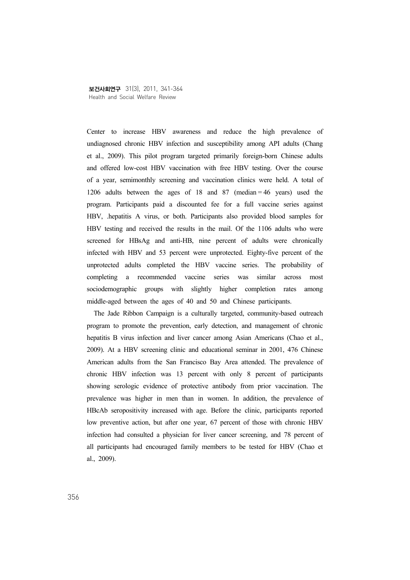Center to increase HBV awareness and reduce the high prevalence of undiagnosed chronic HBV infection and susceptibility among API adults (Chang et al., 2009). This pilot program targeted primarily foreign-born Chinese adults and offered low-cost HBV vaccination with free HBV testing. Over the course of a year, semimonthly screening and vaccination clinics were held. A total of 1206 adults between the ages of 18 and 87 (median = 46 years) used the program. Participants paid a discounted fee for a full vaccine series against HBV, .hepatitis A virus, or both. Participants also provided blood samples for HBV testing and received the results in the mail. Of the 1106 adults who were screened for HBsAg and anti-HB, nine percent of adults were chronically infected with HBV and 53 percent were unprotected. Eighty-five percent of the unprotected adults completed the HBV vaccine series. The probability of completing a recommended vaccine series was similar across most sociodemographic groups with slightly higher completion rates among middle-aged between the ages of 40 and 50 and Chinese participants.

The Jade Ribbon Campaign is a culturally targeted, community-based outreach program to promote the prevention, early detection, and management of chronic hepatitis B virus infection and liver cancer among Asian Americans (Chao et al., 2009). At a HBV screening clinic and educational seminar in 2001, 476 Chinese American adults from the San Francisco Bay Area attended. The prevalence of chronic HBV infection was 13 percent with only 8 percent of participants showing serologic evidence of protective antibody from prior vaccination. The prevalence was higher in men than in women. In addition, the prevalence of HBcAb seropositivity increased with age. Before the clinic, participants reported low preventive action, but after one year, 67 percent of those with chronic HBV infection had consulted a physician for liver cancer screening, and 78 percent of all participants had encouraged family members to be tested for HBV (Chao et al., 2009).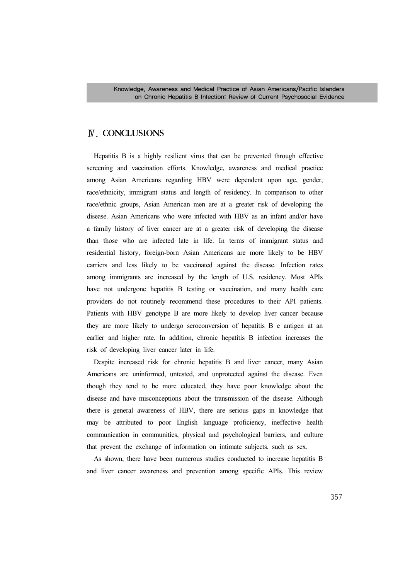# Ⅳ. CONCLUSIONS

Hepatitis B is a highly resilient virus that can be prevented through effective screening and vaccination efforts. Knowledge, awareness and medical practice among Asian Americans regarding HBV were dependent upon age, gender, race/ethnicity, immigrant status and length of residency. In comparison to other race/ethnic groups, Asian American men are at a greater risk of developing the disease. Asian Americans who were infected with HBV as an infant and/or have a family history of liver cancer are at a greater risk of developing the disease than those who are infected late in life. In terms of immigrant status and residential history, foreign-born Asian Americans are more likely to be HBV carriers and less likely to be vaccinated against the disease. Infection rates among immigrants are increased by the length of U.S. residency. Most APIs have not undergone hepatitis B testing or vaccination, and many health care providers do not routinely recommend these procedures to their API patients. Patients with HBV genotype B are more likely to develop liver cancer because they are more likely to undergo seroconversion of hepatitis B e antigen at an earlier and higher rate. In addition, chronic hepatitis B infection increases the risk of developing liver cancer later in life.

Despite increased risk for chronic hepatitis B and liver cancer, many Asian Americans are uninformed, untested, and unprotected against the disease. Even though they tend to be more educated, they have poor knowledge about the disease and have misconceptions about the transmission of the disease. Although there is general awareness of HBV, there are serious gaps in knowledge that may be attributed to poor English language proficiency, ineffective health communication in communities, physical and psychological barriers, and culture that prevent the exchange of information on intimate subjects, such as sex.

As shown, there have been numerous studies conducted to increase hepatitis B and liver cancer awareness and prevention among specific APIs. This review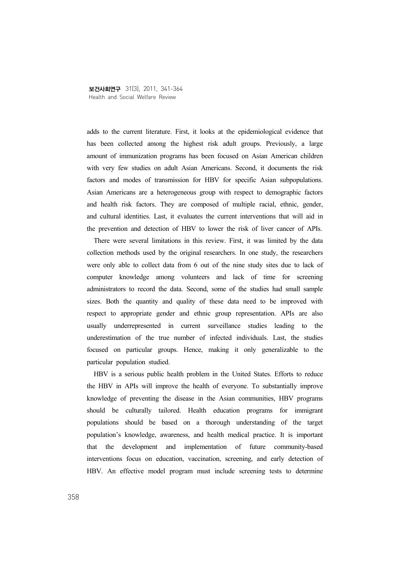adds to the current literature. First, it looks at the epidemiological evidence that has been collected among the highest risk adult groups. Previously, a large amount of immunization programs has been focused on Asian American children with very few studies on adult Asian Americans. Second, it documents the risk factors and modes of transmission for HBV for specific Asian subpopulations. Asian Americans are a heterogeneous group with respect to demographic factors and health risk factors. They are composed of multiple racial, ethnic, gender, and cultural identities. Last, it evaluates the current interventions that will aid in the prevention and detection of HBV to lower the risk of liver cancer of APIs.

There were several limitations in this review. First, it was limited by the data collection methods used by the original researchers. In one study, the researchers were only able to collect data from 6 out of the nine study sites due to lack of computer knowledge among volunteers and lack of time for screening administrators to record the data. Second, some of the studies had small sample sizes. Both the quantity and quality of these data need to be improved with respect to appropriate gender and ethnic group representation. APIs are also usually underrepresented in current surveillance studies leading to the underestimation of the true number of infected individuals. Last, the studies focused on particular groups. Hence, making it only generalizable to the particular population studied.

HBV is a serious public health problem in the United States. Efforts to reduce the HBV in APIs will improve the health of everyone. To substantially improve knowledge of preventing the disease in the Asian communities, HBV programs should be culturally tailored. Health education programs for immigrant populations should be based on a thorough understanding of the target population's knowledge, awareness, and health medical practice. It is important that the development and implementation of future community-based interventions focus on education, vaccination, screening, and early detection of HBV. An effective model program must include screening tests to determine

358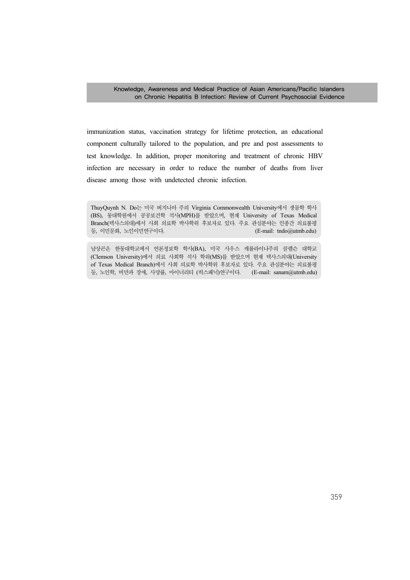immunization status, vaccination strategy for lifetime protection, an educational component culturally tailored to the population, and pre and post assessments to test knowledge. In addition, proper monitoring and treatment of chronic HBV infection are necessary in order to reduce the number of deaths from liver disease among those with undetected chronic infection.

ThuyQuynh N. Do는 미국 버지니아 주의 Virginia Commonwealth University에서 생물학 학사 (BS), 동대학원에서 공공보건학 석사(MPH)를 받았으며, 현재 University of Texas Medical Branch(텍사스의대)에서 사회 의료학 박사학위 후보자로 있다. 주요 관심분야는 인종간 의료불평 등, 이민문화, 노인이민연구이다. (E-mail: tndo@utmb.edu)

남상곤은 한동대학교에서 언론정보학 학사(BA), 미국 사우스 캐롤라이나주의 클렘슨 대학교 (Clemson University)에서 의료 사회학 석사 학위(MS)를 받았으며 현재 텍사스의대(University of Texas Medical Branch)에서 사회 의료학 박사학위 후보자로 있다. 주요 관심분야는 의료불평 등, 노인학, 비만과 장애, 사망률, 마이너리티 (히스패닉)연구이다. (E-mail: sanam@utmb.edu)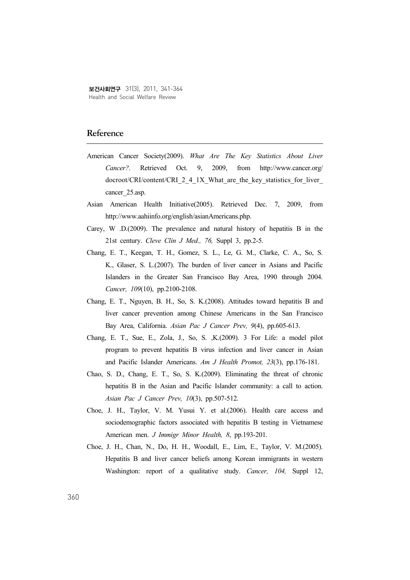## Reference

- American Cancer Society(2009). *What Are The Key Statistics About Liver Cancer?*. Retrieved Oct. 9, 2009, from http://www.cancer.org/ docroot/CRI/content/CRI\_2\_4\_1X\_What\_are\_the\_key\_statistics\_for\_liver cancer 25.asp.
- Asian American Health Initiative(2005). Retrieved Dec. 7, 2009, from http://www.aahiinfo.org/english/asianAmericans.php.
- Carey, W .D.(2009). The prevalence and natural history of hepatitis B in the 21st century. *Cleve Clin J Med., 76,* Suppl 3, pp.2-5.
- Chang, E. T., Keegan, T. H., Gomez, S. L., Le, G. M., Clarke, C. A., So, S. K., Glaser, S. L.(2007). The burden of liver cancer in Asians and Pacific Islanders in the Greater San Francisco Bay Area, 1990 through 2004. *Cancer, 109*(10), pp.2100-2108.
- Chang, E. T., Nguyen, B. H., So, S. K.(2008). Attitudes toward hepatitis B and liver cancer prevention among Chinese Americans in the San Francisco Bay Area, California. *Asian Pac J Cancer Prev, 9*(4), pp.605-613.
- Chang, E. T., Sue, E., Zola, J., So, S. ,K.(2009). 3 For Life: a model pilot program to prevent hepatitis B virus infection and liver cancer in Asian and Pacific Islander Americans. *Am J Health Promot, 23*(3), pp.176-181.
- Chao, S. D., Chang, E. T., So, S. K.(2009). Eliminating the threat of chronic hepatitis B in the Asian and Pacific Islander community: a call to action. *Asian Pac J Cancer Prev, 10*(3), pp.507-512.
- Choe, J. H., Taylor, V. M. Yusui Y. et al.(2006). Health care access and sociodemographic factors associated with hepatitis B testing in Vietnamese American men. *J Immigr Minor Health, 8*, pp.193-201.
- Choe, J. H., Chan, N., Do, H. H., Woodall, E., Lim, E., Taylor, V. M.(2005). Hepatitis B and liver cancer beliefs among Korean immigrants in western Washington: report of a qualitative study. *Cancer, 104,* Suppl 12,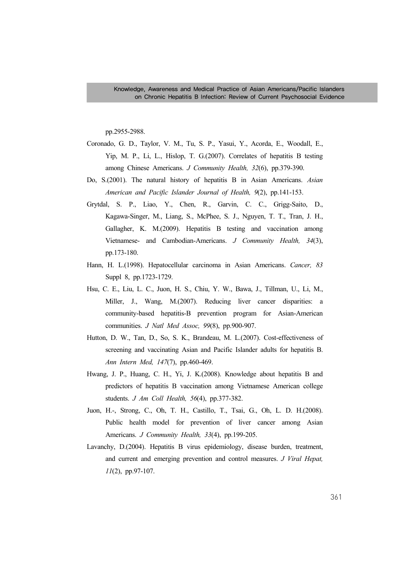pp.2955-2988.

- Coronado, G. D., Taylor, V. M., Tu, S. P., Yasui, Y., Acorda, E., Woodall, E., Yip, M. P., Li, L., Hislop, T. G.(2007). Correlates of hepatitis B testing among Chinese Americans. *J Community Health, 32*(6), pp.379-390.
- Do, S.(2001). The natural history of hepatitis B in Asian Americans. *Asian American and Pacific Islander Journal of Health, 9*(2), pp.141-153.
- Grytdal, S. P., Liao, Y., Chen, R., Garvin, C. C., Grigg-Saito, D., Kagawa-Singer, M., Liang, S., McPhee, S. J., Nguyen, T. T., Tran, J. H., Gallagher, K. M.(2009). Hepatitis B testing and vaccination among Vietnamese- and Cambodian-Americans. *J Community Health, 34*(3), pp.173-180.
- Hann, H. L.(1998). Hepatocellular carcinoma in Asian Americans. *Cancer, 83* Suppl 8, pp.1723-1729.
- Hsu, C. E., Liu, L. C., Juon, H. S., Chiu, Y. W., Bawa, J., Tillman, U., Li, M., Miller, J., Wang, M.(2007). Reducing liver cancer disparities: a community-based hepatitis-B prevention program for Asian-American communities. *J Natl Med Assoc, 99*(8), pp.900-907.
- Hutton, D. W., Tan, D., So, S. K., Brandeau, M. L.(2007). Cost-effectiveness of screening and vaccinating Asian and Pacific Islander adults for hepatitis B. *Ann Intern Med, 147*(7), pp.460-469.
- Hwang, J. P., Huang, C. H., Yi, J. K.(2008). Knowledge about hepatitis B and predictors of hepatitis B vaccination among Vietnamese American college students. *J Am Coll Health, 56*(4), pp.377-382.
- Juon, H.-, Strong, C., Oh, T. H., Castillo, T., Tsai, G., Oh, L. D. H.(2008). Public health model for prevention of liver cancer among Asian Americans. *J Community Health, 33*(4), pp.199-205.
- Lavanchy, D.(2004). Hepatitis B virus epidemiology, disease burden, treatment, and current and emerging prevention and control measures. *J Viral Hepat, 11*(2), pp.97-107.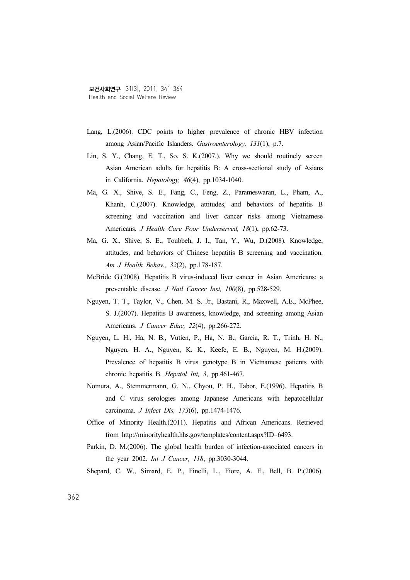- Lang, L.(2006). CDC points to higher prevalence of chronic HBV infection among Asian/Pacific Islanders. *Gastroenterology, 131*(1), p.7.
- Lin, S. Y., Chang, E. T., So, S. K.(2007.). Why we should routinely screen Asian American adults for hepatitis B: A cross-sectional study of Asians in California. *Hepatology, 46*(4), pp.1034-1040.
- Ma, G. X., Shive, S. E., Fang, C., Feng, Z., Parameswaran, L., Pham, A., Khanh, C.(2007). Knowledge, attitudes, and behaviors of hepatitis B screening and vaccination and liver cancer risks among Vietnamese Americans. *J Health Care Poor Underserved, 18*(1), pp.62-73.
- Ma, G. X., Shive, S. E., Toubbeh, J. I., Tan, Y., Wu, D.(2008). Knowledge, attitudes, and behaviors of Chinese hepatitis B screening and vaccination. *Am J Health Behav., 32*(2), pp.178-187.
- McBride G.(2008). Hepatitis B virus-induced liver cancer in Asian Americans: a preventable disease. *J Natl Cancer Inst, 100*(8), pp.528-529.
- Nguyen, T. T., Taylor, V., Chen, M. S. Jr., Bastani, R., Maxwell, A.E., McPhee, S. J.(2007). Hepatitis B awareness, knowledge, and screening among Asian Americans. *J Cancer Educ, 22*(4), pp.266-272.
- Nguyen, L. H., Ha, N. B., Vutien, P., Ha, N. B., Garcia, R. T., Trinh, H. N., Nguyen, H. A., Nguyen, K. K., Keefe, E. B., Nguyen, M. H.(2009). Prevalence of hepatitis B virus genotype B in Vietnamese patients with chronic hepatitis B. *Hepatol Int, 3*, pp.461-467.
- Nomura, A., Stemmermann, G. N., Chyou, P. H., Tabor, E.(1996). Hepatitis B and C virus serologies among Japanese Americans with hepatocellular carcinoma. *J Infect Dis, 173*(6), pp.1474-1476.
- Office of Minority Health.(2011). Hepatitis and African Americans. Retrieved from http://minorityhealth.hhs.gov/templates/content.aspx?ID=6493.
- Parkin, D. M.(2006). The global health burden of infection-associated cancers in the year 2002. *Int J Cancer, 118*, pp.3030-3044.
- Shepard, C. W., Simard, E. P., Finelli, L., Fiore, A. E., Bell, B. P.(2006).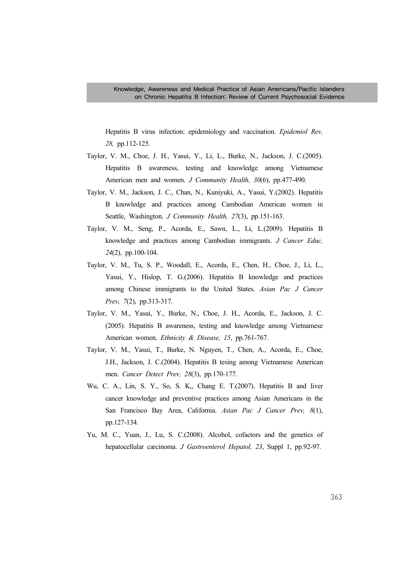Hepatitis B virus infection: epidemiology and vaccination. *Epidemiol Rev, 28,* pp.112-125.

- Taylor, V. M., Choe, J. H., Yasui, Y., Li, L., Burke, N., Jackson, J. C.(2005). Hepatitis B awareness, testing and knowledge among Vietnamese American men and women. *J Community Health, 30*(6), pp.477-490.
- Taylor, V. M., Jackson, J. C., Chan, N., Kuniyuki, A., Yasui, Y.(2002). Hepatitis B knowledge and practices among Cambodian American women in Seattle, Washington. *J Community Health, 27*(3), pp.151-163.
- Taylor, V. M., Seng, P., Acorda, E., Sawn, L., Li, L.(2009). Hepatitis B knowledge and practices among Cambodian immigrants. *J Cancer Educ, 24*(2), pp.100-104.
- Taylor, V. M., Tu, S. P., Woodall, E., Acorda, E., Chen, H., Choe, J., Li, L., Yasui, Y., Hislop, T. G.(2006). Hepatitis B knowledge and practices among Chinese immigrants to the United States. *Asian Pac J Cancer Prev, 7*(2), pp.313-317.
- Taylor, V. M., Yasui, Y., Burke, N., Choe, J. H., Acorda, E., Jackson, J. C. (2005). Hepatitis B awareness, testing and knowledge among Vietnamese American women. *Ethnicity & Disease, 15*, pp.761-767.
- Taylor, V. M., Yasui, T., Burke, N. Nguyen, T., Chen, A., Acorda, E., Choe, J.H., Jackson, J. C.(2004). Hepatitis B tesing among Vietnamese American men. *Cancer Detect Prev, 28*(3), pp.170-177.
- Wu, C. A., Lin, S. Y., So, S. K,, Chang E. T.(2007). Hepatitis B and liver cancer knowledge and preventive practices among Asian Americans in the San Francisco Bay Area, California. *Asian Pac J Cancer Prev, 8*(1), pp.127-134.
- Yu, M. C., Yuan, J., Lu, S. C.(2008). Alcohol, cofactors and the genetics of hepatocellular carcinoma. *J Gastroenterol Hepatol, 23*, Suppl 1, pp.92-97.